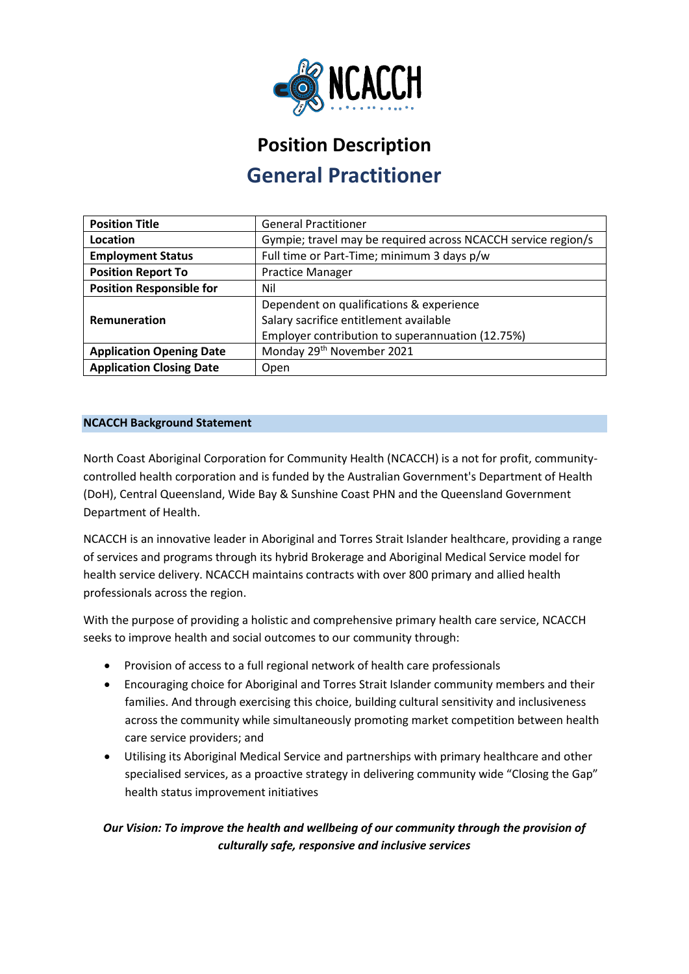

# **Position Description General Practitioner**

| <b>Position Title</b>           | <b>General Practitioner</b>                                   |
|---------------------------------|---------------------------------------------------------------|
| Location                        | Gympie; travel may be required across NCACCH service region/s |
| <b>Employment Status</b>        | Full time or Part-Time; minimum 3 days p/w                    |
| <b>Position Report To</b>       | <b>Practice Manager</b>                                       |
| <b>Position Responsible for</b> | Nil                                                           |
|                                 | Dependent on qualifications & experience                      |
| Remuneration                    | Salary sacrifice entitlement available                        |
|                                 | Employer contribution to superannuation (12.75%)              |
| <b>Application Opening Date</b> | Monday 29 <sup>th</sup> November 2021                         |
| <b>Application Closing Date</b> | Open                                                          |

# **NCACCH Background Statement**

North Coast Aboriginal Corporation for Community Health (NCACCH) is a not for profit, communitycontrolled health corporation and is funded by the Australian Government's Department of Health (DoH), Central Queensland, Wide Bay & Sunshine Coast PHN and the Queensland Government Department of Health.

NCACCH is an innovative leader in Aboriginal and Torres Strait Islander healthcare, providing a range of services and programs through its hybrid Brokerage and Aboriginal Medical Service model for health service delivery. NCACCH maintains contracts with over 800 primary and allied health professionals across the region.

With the purpose of providing a holistic and comprehensive primary health care service, NCACCH seeks to improve health and social outcomes to our community through:

- Provision of access to a full regional network of health care professionals
- Encouraging choice for Aboriginal and Torres Strait Islander community members and their families. And through exercising this choice, building cultural sensitivity and inclusiveness across the community while simultaneously promoting market competition between health care service providers; and
- Utilising its Aboriginal Medical Service and partnerships with primary healthcare and other specialised services, as a proactive strategy in delivering community wide "Closing the Gap" health status improvement initiatives

# *Our Vision: To improve the health and wellbeing of our community through the provision of culturally safe, responsive and inclusive services*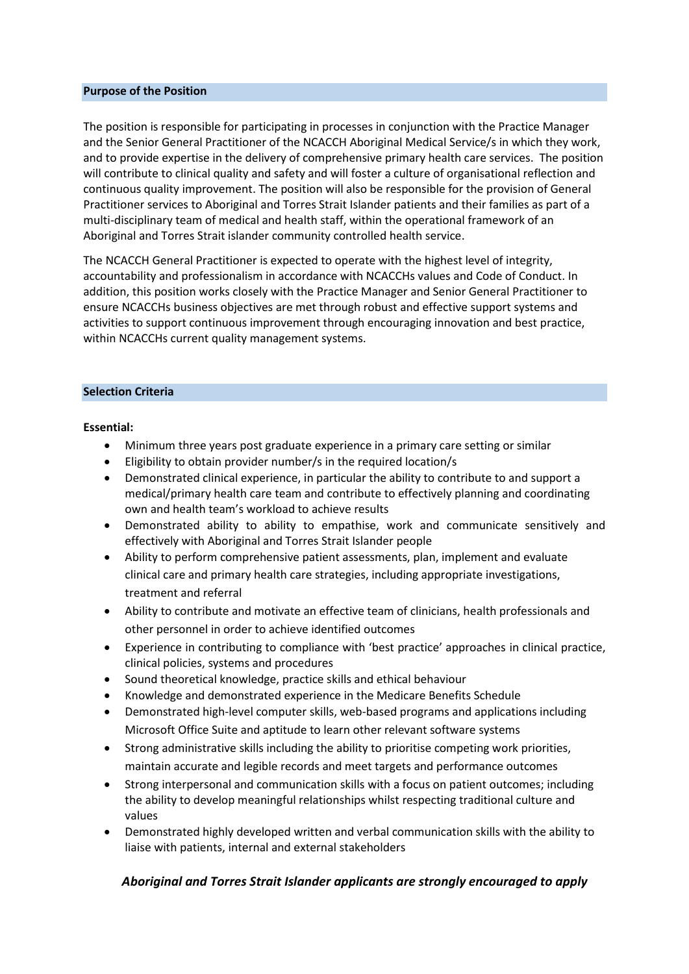#### **Purpose of the Position**

The position is responsible for participating in processes in conjunction with the Practice Manager and the Senior General Practitioner of the NCACCH Aboriginal Medical Service/s in which they work, and to provide expertise in the delivery of comprehensive primary health care services. The position will contribute to clinical quality and safety and will foster a culture of organisational reflection and continuous quality improvement. The position will also be responsible for the provision of General Practitioner services to Aboriginal and Torres Strait Islander patients and their families as part of a multi-disciplinary team of medical and health staff, within the operational framework of an Aboriginal and Torres Strait islander community controlled health service.

The NCACCH General Practitioner is expected to operate with the highest level of integrity, accountability and professionalism in accordance with NCACCHs values and Code of Conduct. In addition, this position works closely with the Practice Manager and Senior General Practitioner to ensure NCACCHs business objectives are met through robust and effective support systems and activities to support continuous improvement through encouraging innovation and best practice, within NCACCHs current quality management systems.

#### **Selection Criteria**

#### **Essential:**

- Minimum three years post graduate experience in a primary care setting or similar
- Eligibility to obtain provider number/s in the required location/s
- Demonstrated clinical experience, in particular the ability to contribute to and support a medical/primary health care team and contribute to effectively planning and coordinating own and health team's workload to achieve results
- Demonstrated ability to ability to empathise, work and communicate sensitively and effectively with Aboriginal and Torres Strait Islander people
- Ability to perform comprehensive patient assessments, plan, implement and evaluate clinical care and primary health care strategies, including appropriate investigations, treatment and referral
- Ability to contribute and motivate an effective team of clinicians, health professionals and other personnel in order to achieve identified outcomes
- Experience in contributing to compliance with 'best practice' approaches in clinical practice, clinical policies, systems and procedures
- Sound theoretical knowledge, practice skills and ethical behaviour
- Knowledge and demonstrated experience in the Medicare Benefits Schedule
- Demonstrated high-level computer skills, web-based programs and applications including Microsoft Office Suite and aptitude to learn other relevant software systems
- Strong administrative skills including the ability to prioritise competing work priorities, maintain accurate and legible records and meet targets and performance outcomes
- Strong interpersonal and communication skills with a focus on patient outcomes; including the ability to develop meaningful relationships whilst respecting traditional culture and values
- Demonstrated highly developed written and verbal communication skills with the ability to liaise with patients, internal and external stakeholders

# *Aboriginal and Torres Strait Islander applicants are strongly encouraged to apply*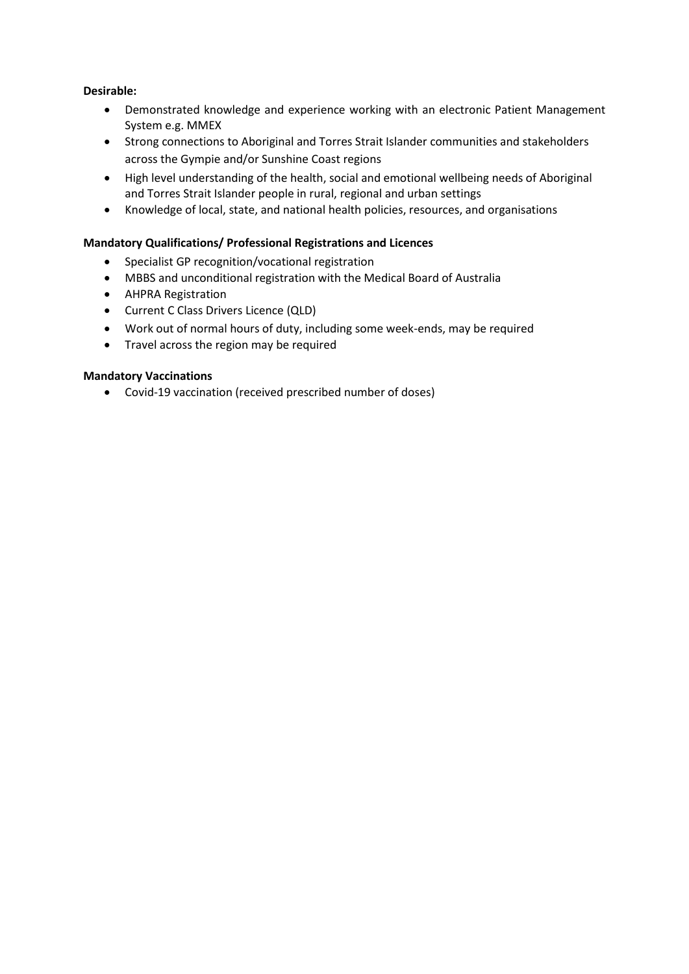# **Desirable:**

- Demonstrated knowledge and experience working with an electronic Patient Management System e.g. MMEX
- Strong connections to Aboriginal and Torres Strait Islander communities and stakeholders across the Gympie and/or Sunshine Coast regions
- High level understanding of the health, social and emotional wellbeing needs of Aboriginal and Torres Strait Islander people in rural, regional and urban settings
- Knowledge of local, state, and national health policies, resources, and organisations

## **Mandatory Qualifications/ Professional Registrations and Licences**

- Specialist GP recognition/vocational registration
- MBBS and unconditional registration with the Medical Board of Australia
- AHPRA Registration
- Current C Class Drivers Licence (QLD)
- Work out of normal hours of duty, including some week-ends, may be required
- Travel across the region may be required

## **Mandatory Vaccinations**

• Covid-19 vaccination (received prescribed number of doses)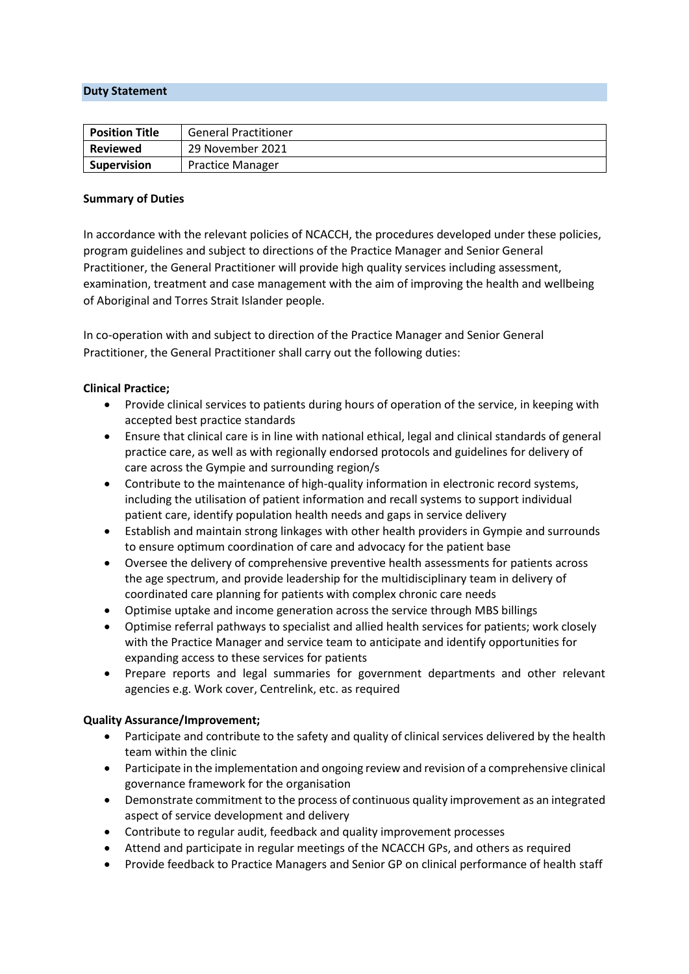#### **Duty Statement**

| <b>Position Title</b> | <b>General Practitioner</b> |
|-----------------------|-----------------------------|
| <b>Reviewed</b>       | 29 November 2021            |
| <b>Supervision</b>    | <b>Practice Manager</b>     |

#### **Summary of Duties**

In accordance with the relevant policies of NCACCH, the procedures developed under these policies, program guidelines and subject to directions of the Practice Manager and Senior General Practitioner, the General Practitioner will provide high quality services including assessment, examination, treatment and case management with the aim of improving the health and wellbeing of Aboriginal and Torres Strait Islander people.

In co-operation with and subject to direction of the Practice Manager and Senior General Practitioner, the General Practitioner shall carry out the following duties:

#### **Clinical Practice;**

- Provide clinical services to patients during hours of operation of the service, in keeping with accepted best practice standards
- Ensure that clinical care is in line with national ethical, legal and clinical standards of general practice care, as well as with regionally endorsed protocols and guidelines for delivery of care across the Gympie and surrounding region/s
- Contribute to the maintenance of high-quality information in electronic record systems, including the utilisation of patient information and recall systems to support individual patient care, identify population health needs and gaps in service delivery
- Establish and maintain strong linkages with other health providers in Gympie and surrounds to ensure optimum coordination of care and advocacy for the patient base
- Oversee the delivery of comprehensive preventive health assessments for patients across the age spectrum, and provide leadership for the multidisciplinary team in delivery of coordinated care planning for patients with complex chronic care needs
- Optimise uptake and income generation across the service through MBS billings
- Optimise referral pathways to specialist and allied health services for patients; work closely with the Practice Manager and service team to anticipate and identify opportunities for expanding access to these services for patients
- Prepare reports and legal summaries for government departments and other relevant agencies e.g. Work cover, Centrelink, etc. as required

#### **Quality Assurance/Improvement;**

- Participate and contribute to the safety and quality of clinical services delivered by the health team within the clinic
- Participate in the implementation and ongoing review and revision of a comprehensive clinical governance framework for the organisation
- Demonstrate commitment to the process of continuous quality improvement as an integrated aspect of service development and delivery
- Contribute to regular audit, feedback and quality improvement processes
- Attend and participate in regular meetings of the NCACCH GPs, and others as required
- Provide feedback to Practice Managers and Senior GP on clinical performance of health staff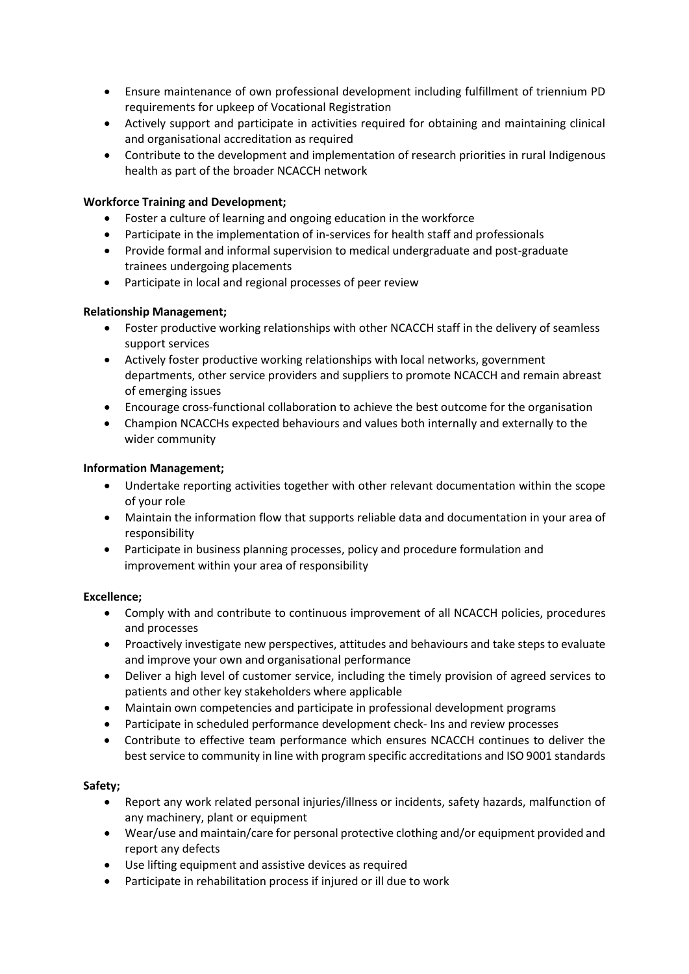- Ensure maintenance of own professional development including fulfillment of triennium PD requirements for upkeep of Vocational Registration
- Actively support and participate in activities required for obtaining and maintaining clinical and organisational accreditation as required
- Contribute to the development and implementation of research priorities in rural Indigenous health as part of the broader NCACCH network

# **Workforce Training and Development;**

- Foster a culture of learning and ongoing education in the workforce
- Participate in the implementation of in-services for health staff and professionals
- Provide formal and informal supervision to medical undergraduate and post-graduate trainees undergoing placements
- Participate in local and regional processes of peer review

# **Relationship Management;**

- Foster productive working relationships with other NCACCH staff in the delivery of seamless support services
- Actively foster productive working relationships with local networks, government departments, other service providers and suppliers to promote NCACCH and remain abreast of emerging issues
- Encourage cross-functional collaboration to achieve the best outcome for the organisation
- Champion NCACCHs expected behaviours and values both internally and externally to the wider community

#### **Information Management;**

- Undertake reporting activities together with other relevant documentation within the scope of your role
- Maintain the information flow that supports reliable data and documentation in your area of responsibility
- Participate in business planning processes, policy and procedure formulation and improvement within your area of responsibility

#### **Excellence;**

- Comply with and contribute to continuous improvement of all NCACCH policies, procedures and processes
- Proactively investigate new perspectives, attitudes and behaviours and take steps to evaluate and improve your own and organisational performance
- Deliver a high level of customer service, including the timely provision of agreed services to patients and other key stakeholders where applicable
- Maintain own competencies and participate in professional development programs
- Participate in scheduled performance development check- Ins and review processes
- Contribute to effective team performance which ensures NCACCH continues to deliver the best service to community in line with program specific accreditations and ISO 9001 standards

# **Safety;**

- Report any work related personal injuries/illness or incidents, safety hazards, malfunction of any machinery, plant or equipment
- Wear/use and maintain/care for personal protective clothing and/or equipment provided and report any defects
- Use lifting equipment and assistive devices as required
- Participate in rehabilitation process if injured or ill due to work